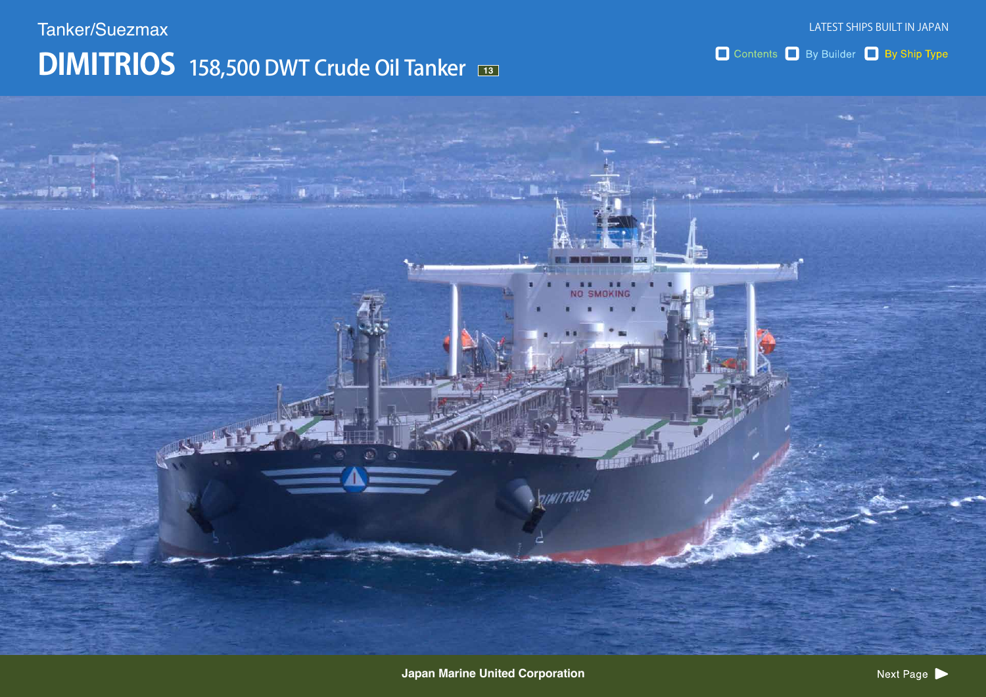## **DIMITRIOS** 158,500 DWT Crude Oil Tanker Tanker/Suezmax

Contents By Builder By Ship Type